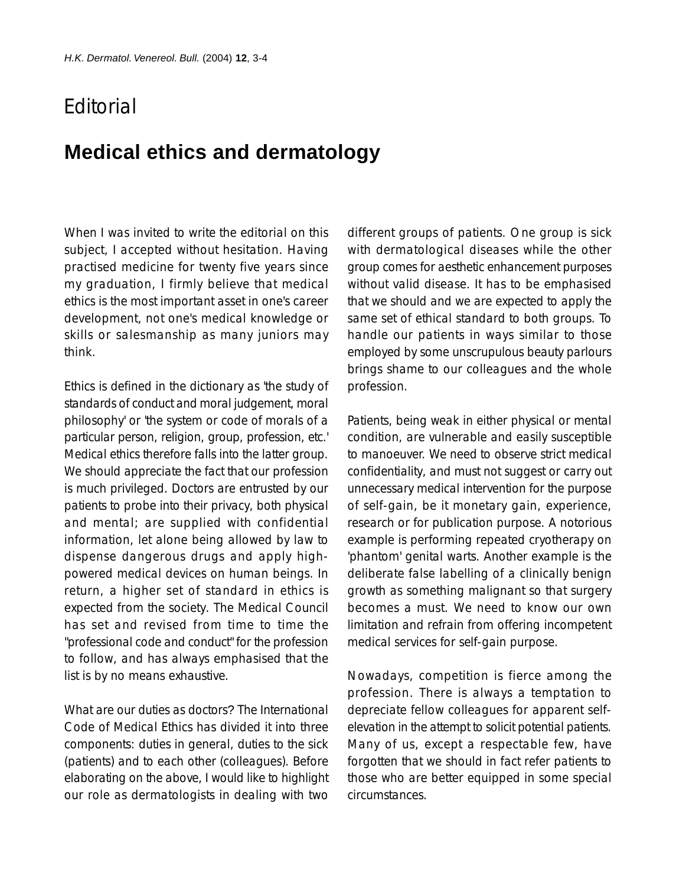## **F**ditorial

## **Medical ethics and dermatology**

When I was invited to write the editorial on this subject, I accepted without hesitation. Having practised medicine for twenty five years since my graduation, I firmly believe that medical ethics is the most important asset in one's career development, not one's medical knowledge or skills or salesmanship as many juniors may think.

Ethics is defined in the dictionary as 'the study of standards of conduct and moral judgement, moral philosophy' or 'the system or code of morals of a particular person, religion, group, profession, etc.' Medical ethics therefore falls into the latter group. We should appreciate the fact that our profession is much privileged. Doctors are entrusted by our patients to probe into their privacy, both physical and mental; are supplied with confidential information, let alone being allowed by law to dispense dangerous drugs and apply highpowered medical devices on human beings. In return, a higher set of standard in ethics is expected from the society. The Medical Council has set and revised from time to time the "professional code and conduct" for the profession to follow, and has always emphasised that the list is by no means exhaustive.

What are our duties as doctors? The International Code of Medical Ethics has divided it into three components: duties in general, duties to the sick (patients) and to each other (colleagues). Before elaborating on the above, I would like to highlight our role as dermatologists in dealing with two

different groups of patients. One group is sick with dermatological diseases while the other group comes for aesthetic enhancement purposes without valid disease. It has to be emphasised that we should and we are expected to apply the same set of ethical standard to both groups. To handle our patients in ways similar to those employed by some unscrupulous beauty parlours brings shame to our colleagues and the whole profession.

Patients, being weak in either physical or mental condition, are vulnerable and easily susceptible to manoeuver. We need to observe strict medical confidentiality, and must not suggest or carry out unnecessary medical intervention for the purpose of self-gain, be it monetary gain, experience, research or for publication purpose. A notorious example is performing repeated cryotherapy on 'phantom' genital warts. Another example is the deliberate false labelling of a clinically benign growth as something malignant so that surgery becomes a must. We need to know our own limitation and refrain from offering incompetent medical services for self-gain purpose.

Nowadays, competition is fierce among the profession. There is always a temptation to depreciate fellow colleagues for apparent selfelevation in the attempt to solicit potential patients. Many of us, except a respectable few, have forgotten that we should in fact refer patients to those who are better equipped in some special circumstances.